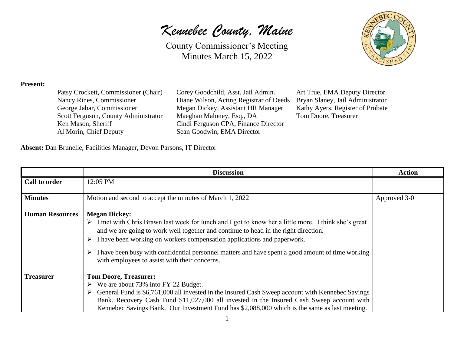*Kennebec County, Maine*



## **Present:**

Patsy Crockett, Commissioner (Chair) Corey Goodchild, Asst. Jail Admin. Art True, EMA Deputy Director Ken Mason, Sheriff Cindi Ferguson CPA, Finance Director Al Morin, Chief Deputy Sean Goodwin, EMA Director

Nancy Rines, Commissioner Diane Wilson, Acting Registrar of Deeds Bryan Slaney, Jail Administrator George Jabar, Commissioner Megan Dickey, Assistant HR Manager Kathy Ayers, Register of Probate Scott Ferguson, County Administrator Maeghan Maloney, Esq., DA Tom Doore, Treasurer

**Absent:** Dan Brunelle, Facilities Manager, Devon Parsons, IT Director

|                        | <b>Discussion</b>                                                                                                                                                                                                                                                                                                                                                                                                                                                                          | <b>Action</b> |
|------------------------|--------------------------------------------------------------------------------------------------------------------------------------------------------------------------------------------------------------------------------------------------------------------------------------------------------------------------------------------------------------------------------------------------------------------------------------------------------------------------------------------|---------------|
| Call to order          | 12:05 PM                                                                                                                                                                                                                                                                                                                                                                                                                                                                                   |               |
| <b>Minutes</b>         | Motion and second to accept the minutes of March 1, 2022                                                                                                                                                                                                                                                                                                                                                                                                                                   | Approved 3-0  |
| <b>Human Resources</b> | <b>Megan Dickey:</b><br>$\triangleright$ I met with Chris Brawn last week for lunch and I got to know her a little more. I think she's great<br>and we are going to work well together and continue to head in the right direction.<br>I have been working on workers compensation applications and paperwork.<br>➤<br>$\triangleright$ I have been busy with confidential personnel matters and have spent a good amount of time working<br>with employees to assist with their concerns. |               |
| <b>Treasurer</b>       | <b>Tom Doore, Treasurer:</b><br>$\triangleright$ We are about 73% into FY 22 Budget.<br>General Fund is \$6,761,000 all invested in the Insured Cash Sweep account with Kennebec Savings<br>➤<br>Bank. Recovery Cash Fund \$11,027,000 all invested in the Insured Cash Sweep account with<br>Kennebec Savings Bank. Our Investment Fund has \$2,088,000 which is the same as last meeting.                                                                                                |               |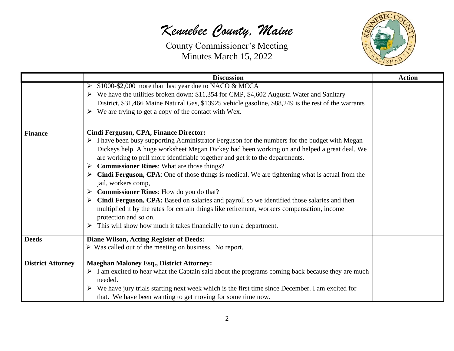## *Kennebec County, Maine*



|                          | <b>Discussion</b>                                                                                                                                                                                                                                                                                                                                                                                                                                                                                                                                                                                                                                                                                                                                                                                                                                                      | <b>Action</b> |
|--------------------------|------------------------------------------------------------------------------------------------------------------------------------------------------------------------------------------------------------------------------------------------------------------------------------------------------------------------------------------------------------------------------------------------------------------------------------------------------------------------------------------------------------------------------------------------------------------------------------------------------------------------------------------------------------------------------------------------------------------------------------------------------------------------------------------------------------------------------------------------------------------------|---------------|
|                          | \$1000-\$2,000 more than last year due to NACO & MCCA<br>➤<br>$\triangleright$ We have the utilities broken down: \$11,354 for CMP, \$4,602 Augusta Water and Sanitary<br>District, \$31,466 Maine Natural Gas, \$13925 vehicle gasoline, \$88,249 is the rest of the warrants<br>$\triangleright$ We are trying to get a copy of the contact with Wex.                                                                                                                                                                                                                                                                                                                                                                                                                                                                                                                |               |
| <b>Finance</b>           | Cindi Ferguson, CPA, Finance Director:<br>$\triangleright$ I have been busy supporting Administrator Ferguson for the numbers for the budget with Megan<br>Dickeys help. A huge worksheet Megan Dickey had been working on and helped a great deal. We<br>are working to pull more identifiable together and get it to the departments.<br><b>Commissioner Rines:</b> What are those things?<br>➤<br>Cindi Ferguson, CPA: One of those things is medical. We are tightening what is actual from the<br>jail, workers comp,<br>Commissioner Rines: How do you do that?<br>➤<br>Cindi Ferguson, CPA: Based on salaries and payroll so we identified those salaries and then<br>multiplied it by the rates for certain things like retirement, workers compensation, income<br>protection and so on.<br>This will show how much it takes financially to run a department. |               |
| <b>Deeds</b>             | <b>Diane Wilson, Acting Register of Deeds:</b><br>$\triangleright$ Was called out of the meeting on business. No report.                                                                                                                                                                                                                                                                                                                                                                                                                                                                                                                                                                                                                                                                                                                                               |               |
| <b>District Attorney</b> | <b>Maeghan Maloney Esq., District Attorney:</b><br>$\triangleright$ I am excited to hear what the Captain said about the programs coming back because they are much<br>needed.<br>We have jury trials starting next week which is the first time since December. I am excited for<br>that. We have been wanting to get moving for some time now.                                                                                                                                                                                                                                                                                                                                                                                                                                                                                                                       |               |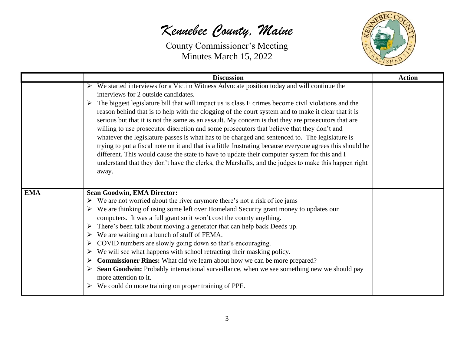## *Kennebec County, Maine*



|            | <b>Discussion</b>                                                                                                                                                                                                                                                                                                                                                                                                                                                                                                                                                                                                                                                                                                                                                                                                                                                                                                                                                                      | <b>Action</b> |
|------------|----------------------------------------------------------------------------------------------------------------------------------------------------------------------------------------------------------------------------------------------------------------------------------------------------------------------------------------------------------------------------------------------------------------------------------------------------------------------------------------------------------------------------------------------------------------------------------------------------------------------------------------------------------------------------------------------------------------------------------------------------------------------------------------------------------------------------------------------------------------------------------------------------------------------------------------------------------------------------------------|---------------|
|            | We started interviews for a Victim Witness Advocate position today and will continue the<br>interviews for 2 outside candidates.<br>The biggest legislature bill that will impact us is class E crimes become civil violations and the<br>➤<br>reason behind that is to help with the clogging of the court system and to make it clear that it is<br>serious but that it is not the same as an assault. My concern is that they are prosecutors that are<br>willing to use prosecutor discretion and some prosecutors that believe that they don't and<br>whatever the legislature passes is what has to be charged and sentenced to. The legislature is<br>trying to put a fiscal note on it and that is a little frustrating because everyone agrees this should be<br>different. This would cause the state to have to update their computer system for this and I<br>understand that they don't have the clerks, the Marshalls, and the judges to make this happen right<br>away. |               |
| <b>EMA</b> | <b>Sean Goodwin, EMA Director:</b><br>$\triangleright$ We are not worried about the river anymore there's not a risk of ice jams<br>$\triangleright$ We are thinking of using some left over Homeland Security grant money to updates our<br>computers. It was a full grant so it won't cost the county anything.<br>There's been talk about moving a generator that can help back Deeds up.<br>We are waiting on a bunch of stuff of FEMA.<br>COVID numbers are slowly going down so that's encouraging.<br>➤<br>We will see what happens with school retracting their masking policy.<br>➤<br><b>Commissioner Rines:</b> What did we learn about how we can be more prepared?<br>➤<br>Sean Goodwin: Probably international surveillance, when we see something new we should pay<br>➤<br>more attention to it.<br>We could do more training on proper training of PPE.<br>➤                                                                                                          |               |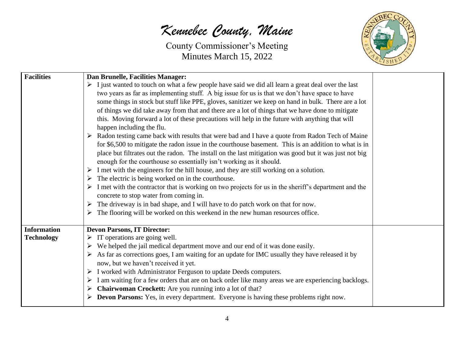*Kennebec County, Maine*



| <b>Facilities</b>  | Dan Brunelle, Facilities Manager:                                                                                     |  |
|--------------------|-----------------------------------------------------------------------------------------------------------------------|--|
|                    | $\triangleright$ I just wanted to touch on what a few people have said we did all learn a great deal over the last    |  |
|                    | two years as far as implementing stuff. A big issue for us is that we don't have space to have                        |  |
|                    | some things in stock but stuff like PPE, gloves, sanitizer we keep on hand in bulk. There are a lot                   |  |
|                    | of things we did take away from that and there are a lot of things that we have done to mitigate                      |  |
|                    | this. Moving forward a lot of these precautions will help in the future with anything that will                       |  |
|                    | happen including the flu.                                                                                             |  |
|                    | > Radon testing came back with results that were bad and I have a quote from Radon Tech of Maine                      |  |
|                    | for \$6,500 to mitigate the radon issue in the courthouse basement. This is an addition to what is in                 |  |
|                    | place but filtrates out the radon. The install on the last mitigation was good but it was just not big                |  |
|                    | enough for the courthouse so essentially isn't working as it should.                                                  |  |
|                    | $\triangleright$ I met with the engineers for the hill house, and they are still working on a solution.               |  |
|                    | $\triangleright$ The electric is being worked on in the courthouse.                                                   |  |
|                    | $\triangleright$ I met with the contractor that is working on two projects for us in the sheriff's department and the |  |
|                    | concrete to stop water from coming in.                                                                                |  |
|                    | $\triangleright$ The driveway is in bad shape, and I will have to do patch work on that for now.                      |  |
|                    | The flooring will be worked on this weekend in the new human resources office.                                        |  |
| <b>Information</b> | <b>Devon Parsons, IT Director:</b>                                                                                    |  |
| <b>Technology</b>  | $\triangleright$ IT operations are going well.                                                                        |  |
|                    | $\triangleright$ We helped the jail medical department move and our end of it was done easily.                        |  |
|                    | $\triangleright$ As far as corrections goes, I am waiting for an update for IMC usually they have released it by      |  |
|                    | now, but we haven't received it yet.                                                                                  |  |
|                    | $\triangleright$ I worked with Administrator Ferguson to update Deeds computers.                                      |  |
|                    | $\triangleright$ I am waiting for a few orders that are on back order like many areas we are experiencing backlogs.   |  |
|                    | Chairwoman Crockett: Are you running into a lot of that?                                                              |  |
|                    | $\triangleright$ Devon Parsons: Yes, in every department. Everyone is having these problems right now.                |  |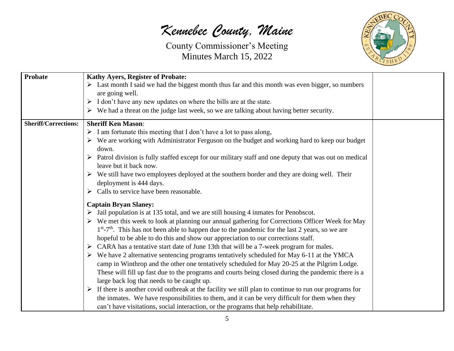*Kennebec County, Maine*



| <b>Probate</b>              | <b>Kathy Ayers, Register of Probate:</b>                                                                               |  |
|-----------------------------|------------------------------------------------------------------------------------------------------------------------|--|
|                             | $\triangleright$ Last month I said we had the biggest month thus far and this month was even bigger, so numbers        |  |
|                             | are going well.                                                                                                        |  |
|                             | $\triangleright$ I don't have any new updates on where the bills are at the state.                                     |  |
|                             | $\triangleright$ We had a threat on the judge last week, so we are talking about having better security.               |  |
| <b>Sheriff/Corrections:</b> | <b>Sheriff Ken Mason:</b>                                                                                              |  |
|                             | $\triangleright$ I am fortunate this meeting that I don't have a lot to pass along,                                    |  |
|                             | $\triangleright$ We are working with Administrator Ferguson on the budget and working hard to keep our budget          |  |
|                             | down.                                                                                                                  |  |
|                             | $\triangleright$ Patrol division is fully staffed except for our military staff and one deputy that was out on medical |  |
|                             | leave but it back now.                                                                                                 |  |
|                             | $\triangleright$ We still have two employees deployed at the southern border and they are doing well. Their            |  |
|                             | deployment is 444 days.                                                                                                |  |
|                             | $\triangleright$ Calls to service have been reasonable.                                                                |  |
|                             | <b>Captain Bryan Slaney:</b>                                                                                           |  |
|                             | $\triangleright$ Jail population is at 135 total, and we are still housing 4 inmates for Penobscot.                    |  |
|                             | $\triangleright$ We met this week to look at planning our annual gathering for Corrections Officer Week for May        |  |
|                             | $1st - 7th$ . This has not been able to happen due to the pandemic for the last 2 years, so we are                     |  |
|                             | hopeful to be able to do this and show our appreciation to our corrections staff.                                      |  |
|                             | $\triangleright$ CARA has a tentative start date of June 13th that will be a 7-week program for males.                 |  |
|                             | $\triangleright$ We have 2 alternative sentencing programs tentatively scheduled for May 6-11 at the YMCA              |  |
|                             | camp in Winthrop and the other one tentatively scheduled for May 20-25 at the Pilgrim Lodge.                           |  |
|                             | These will fill up fast due to the programs and courts being closed during the pandemic there is a                     |  |
|                             | large back log that needs to be caught up.                                                                             |  |
|                             | $\triangleright$ If there is another covid outbreak at the facility we still plan to continue to run our programs for  |  |
|                             | the inmates. We have responsibilities to them, and it can be very difficult for them when they                         |  |
|                             | can't have visitations, social interaction, or the programs that help rehabilitate.                                    |  |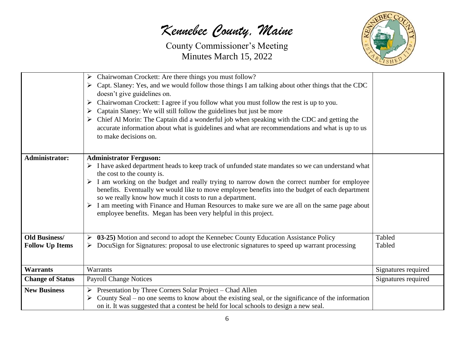*Kennebec County, Maine*

County Commissioner's Meeting Minutes March 15, 2022



|                         | Chairwoman Crockett: Are there things you must follow?<br>➤<br>Capt. Slaney: Yes, and we would follow those things I am talking about other things that the CDC<br>➤<br>doesn't give guidelines on.<br>Chairwoman Crockett: I agree if you follow what you must follow the rest is up to you.<br>➤<br>Captain Slaney: We will still follow the guidelines but just be more<br>➤<br>Chief Al Morin: The Captain did a wonderful job when speaking with the CDC and getting the<br>accurate information about what is guidelines and what are recommendations and what is up to us<br>to make decisions on.                                            |                     |
|-------------------------|------------------------------------------------------------------------------------------------------------------------------------------------------------------------------------------------------------------------------------------------------------------------------------------------------------------------------------------------------------------------------------------------------------------------------------------------------------------------------------------------------------------------------------------------------------------------------------------------------------------------------------------------------|---------------------|
| <b>Administrator:</b>   | <b>Administrator Ferguson:</b><br>$\triangleright$ I have asked department heads to keep track of unfunded state mandates so we can understand what<br>the cost to the county is.<br>$\triangleright$ I am working on the budget and really trying to narrow down the correct number for employee<br>benefits. Eventually we would like to move employee benefits into the budget of each department<br>so we really know how much it costs to run a department.<br>$\triangleright$ I am meeting with Finance and Human Resources to make sure we are all on the same page about<br>employee benefits. Megan has been very helpful in this project. |                     |
| <b>Old Business/</b>    | 03-25) Motion and second to adopt the Kennebec County Education Assistance Policy                                                                                                                                                                                                                                                                                                                                                                                                                                                                                                                                                                    | Tabled              |
| <b>Follow Up Items</b>  | DocuSign for Signatures: proposal to use electronic signatures to speed up warrant processing                                                                                                                                                                                                                                                                                                                                                                                                                                                                                                                                                        | Tabled              |
| <b>Warrants</b>         | Warrants                                                                                                                                                                                                                                                                                                                                                                                                                                                                                                                                                                                                                                             | Signatures required |
| <b>Change of Status</b> | <b>Payroll Change Notices</b>                                                                                                                                                                                                                                                                                                                                                                                                                                                                                                                                                                                                                        | Signatures required |
| <b>New Business</b>     | $\triangleright$ Presentation by Three Corners Solar Project – Chad Allen<br>County Seal – no one seems to know about the existing seal, or the significance of the information<br>on it. It was suggested that a contest be held for local schools to design a new seal.                                                                                                                                                                                                                                                                                                                                                                            |                     |